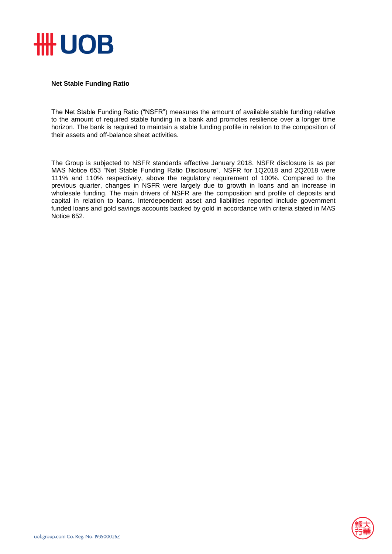

## **Net Stable Funding Ratio**

The Net Stable Funding Ratio ("NSFR") measures the amount of available stable funding relative to the amount of required stable funding in a bank and promotes resilience over a longer time horizon. The bank is required to maintain a stable funding profile in relation to the composition of their assets and off-balance sheet activities.

The Group is subjected to NSFR standards effective January 2018. NSFR disclosure is as per MAS Notice 653 "Net Stable Funding Ratio Disclosure". NSFR for 1Q2018 and 2Q2018 were 111% and 110% respectively, above the regulatory requirement of 100%. Compared to the previous quarter, changes in NSFR were largely due to growth in loans and an increase in wholesale funding. The main drivers of NSFR are the composition and profile of deposits and capital in relation to loans. Interdependent asset and liabilities reported include government funded loans and gold savings accounts backed by gold in accordance with criteria stated in MAS Notice 652.

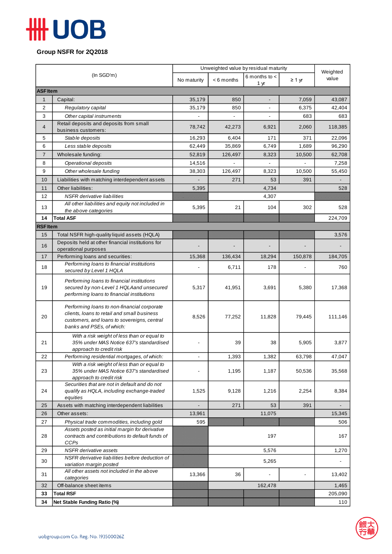## **HH UOB**

**Group NSFR for 2Q2018**

| (In SGD'm)      |                                                                            | Unweighted value by residual maturity |           |                   |             | Weighted |  |  |  |  |
|-----------------|----------------------------------------------------------------------------|---------------------------------------|-----------|-------------------|-------------|----------|--|--|--|--|
|                 |                                                                            | No maturity                           | <6 months | 6 months to $\lt$ | $\geq 1$ yr | value    |  |  |  |  |
| 1 yr            |                                                                            |                                       |           |                   |             |          |  |  |  |  |
| <b>ASF Item</b> |                                                                            |                                       |           |                   |             |          |  |  |  |  |
| $\mathbf{1}$    | Capital:                                                                   | 35,179                                | 850       |                   | 7,059       | 43,087   |  |  |  |  |
| $\overline{2}$  | Regulatory capital                                                         | 35,179                                | 850       |                   | 6,375       | 42,404   |  |  |  |  |
| 3               | Other capital instruments<br>Retail deposits and deposits from small       |                                       |           |                   | 683         | 683      |  |  |  |  |
| 4               | business customers:                                                        | 78,742                                | 42,273    | 6,921             | 2,060       | 118,385  |  |  |  |  |
| 5               | Stable deposits                                                            | 16,293                                | 6,404     | 171               | 371         | 22,096   |  |  |  |  |
| 6               | Less stable deposits                                                       | 62,449                                | 35,869    | 6,749             | 1,689       | 96,290   |  |  |  |  |
| $\overline{7}$  | Wholesale funding:                                                         | 52,819                                | 126,497   | 8,323             | 10,500      | 62,708   |  |  |  |  |
| 8               | Operational deposits                                                       | 14,516                                |           |                   |             | 7,258    |  |  |  |  |
| 9               | Other wholesale funding                                                    | 38,303                                | 126,497   | 8,323             | 10,500      | 55,450   |  |  |  |  |
| 10              | Liabilities with matching interdependent assets                            |                                       | 271       | 53                | 391         |          |  |  |  |  |
| 11              | Other liabilities:                                                         | 5,395                                 |           | 4,734             |             | 528      |  |  |  |  |
| 12              | <b>NSFR</b> derivative liabilities                                         |                                       | 4,307     |                   |             |          |  |  |  |  |
|                 | All other liabilities and equity not included in                           |                                       |           |                   |             |          |  |  |  |  |
| 13              | the above categories                                                       | 5,395                                 | 21        | 104               | 302         | 528      |  |  |  |  |
| 14              | <b>Total ASF</b>                                                           |                                       |           |                   |             | 224,709  |  |  |  |  |
| <b>RSF Item</b> |                                                                            |                                       |           |                   |             |          |  |  |  |  |
| 15              | Total NSFR high-quality liquid assets (HQLA)                               |                                       |           |                   |             | 3,576    |  |  |  |  |
| 16              | Deposits held at other financial institutions for                          |                                       |           |                   |             |          |  |  |  |  |
| 17              | operational purposes<br>Performing loans and securities:                   | 15,368                                | 136,434   | 18,294            | 150,878     | 184,705  |  |  |  |  |
|                 | Performing loans to financial institutions                                 |                                       |           |                   |             |          |  |  |  |  |
| 18              | secured by Level 1 HQLA                                                    |                                       | 6,711     | 178               |             | 760      |  |  |  |  |
|                 | Performing loans to financial institutions                                 |                                       |           |                   |             |          |  |  |  |  |
| 19              | secured by non-Level 1 HQLAand unsecured                                   | 5,317                                 | 41,951    | 3,691             | 5,380       | 17,368   |  |  |  |  |
|                 | performing loans to financial institutions                                 |                                       |           |                   |             |          |  |  |  |  |
|                 | Performing loans to non-financial corporate                                |                                       |           |                   |             |          |  |  |  |  |
|                 | clients, loans to retail and small business                                |                                       |           |                   |             |          |  |  |  |  |
| 20              | customers, and loans to sovereigns, central                                | 8,526                                 | 77,252    | 11,828            | 79,445      | 111,146  |  |  |  |  |
|                 | banks and PSEs, of which:                                                  |                                       |           |                   |             |          |  |  |  |  |
|                 | With a risk weight of less than or equal to                                |                                       |           |                   |             |          |  |  |  |  |
| 21              | 35% under MAS Notice 637's standardised                                    |                                       | 39        | 38                | 5,905       | 3,877    |  |  |  |  |
| 22              | approach to credit risk<br>Performing residential mortgages, of which:     |                                       | 1,393     | 1,382             | 63,798      | 47,047   |  |  |  |  |
|                 | With a risk weight of less than or equal to                                |                                       |           |                   |             |          |  |  |  |  |
| 23              | 35% under MAS Notice 637's standardised                                    |                                       | 1,195     | 1,187             | 50,536      | 35,568   |  |  |  |  |
|                 | approach to credit risk                                                    |                                       |           |                   |             |          |  |  |  |  |
|                 | Securities that are not in default and do not                              |                                       |           |                   |             |          |  |  |  |  |
| 24              | qualify as HQLA, including exchange-traded<br>equities                     | 1,525                                 | 9,128     | 1,216             | 2,254       | 8,384    |  |  |  |  |
| 25              | Assets with matching interdependent liabilities                            |                                       | 271       | 53                | 391         |          |  |  |  |  |
| 26              | Other assets:                                                              | 13,961                                |           | 11,075            |             | 15,345   |  |  |  |  |
| 27              | Physical trade commodities, including gold                                 | 595                                   |           |                   |             | 506      |  |  |  |  |
|                 | Assets posted as initial margin for derivative                             |                                       |           |                   |             |          |  |  |  |  |
| 28              | contracts and contributions to default funds of                            |                                       |           | 197               |             | 167      |  |  |  |  |
|                 | <b>CCPs</b>                                                                |                                       |           |                   |             |          |  |  |  |  |
| 29              | <b>NSFR</b> derivative assets                                              |                                       |           | 5,576             |             | 1,270    |  |  |  |  |
| 30              | NSFR derivative liabilities before deduction of<br>variation margin posted |                                       |           | 5,265             |             |          |  |  |  |  |
|                 | All other assets not included in the above                                 |                                       |           |                   |             |          |  |  |  |  |
| 31              | categories                                                                 | 13,366                                | 36        |                   |             | 13,402   |  |  |  |  |
| 32              | Off-balance sheet items                                                    |                                       |           | 162,478           |             | 1,465    |  |  |  |  |
| 33              | <b>Total RSF</b>                                                           |                                       |           |                   |             | 205,090  |  |  |  |  |
| 34              | Net Stable Funding Ratio (%)                                               |                                       |           |                   |             | 110      |  |  |  |  |